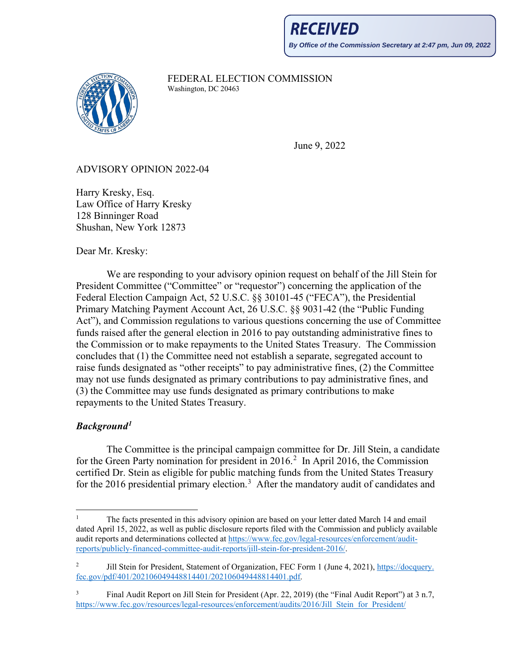

FEDERAL ELECTION COMMISSION<br>Washington, DC 20463

June 9, 2022

## ADVISORY OPINION 2022-04

Harry Kresky, Esq. Law Office of Harry Kresky 128 Binninger Road Shushan, New York 12873

Dear Mr. Kresky:

 We are responding to your advisory opinion request on behalf of the Jill Stein for President Committee ("Committee" or "requestor") concerning the application of the Federal Election Campaign Act, 52 U.S.C. §§ 30101-45 ("FECA"), the Presidential Primary Matching Payment Account Act, 26 U.S.C. §§ 9031-42 (the "Public Funding Act"), and Commission regulations to various questions concerning the use of Committee funds raised after the general election in 2016 to pay outstanding administrative fines to the Commission or to make repayments to the United States Treasury. The Commission concludes that (1) the Committee need not establish a separate, segregated account to raise funds designated as "other receipts" to pay administrative fines, (2) the Committee may not use funds designated as primary contributions to pay administrative fines, and (3) the Committee may use funds designated as primary contributions to make repayments to the United States Treasury.

# *Background[1](#page-0-0)*

The Committee is the principal campaign committee for Dr. Jill Stein, a candidate for the Green Party nomination for president in  $2016<sup>2</sup>$  $2016<sup>2</sup>$  In April 2016, the Commission certified Dr. Stein as eligible for public matching funds from the United States Treasury for the 2016 presidential primary election.<sup>[3](#page-0-2)</sup> After the mandatory audit of candidates and

<span id="page-0-0"></span><sup>1</sup> The facts presented in this advisory opinion are based on your letter dated March 14 and email dated April 15, 2022, as well as public disclosure reports filed with the Commission and publicly available audit reports and determinations collected at [https://www.fec.gov/legal-resources/enforcement/audit](https://gcc02.safelinks.protection.outlook.com/?url=https%3A%2F%2Fwww.fec.gov%2Flegal-resources%2Fenforcement%2Faudit-reports%2Fpublicly-financed-committee-audit-reports%2Fjill-stein-for-president-2016%2F&data=05%7C01%7CJWenzinger%40fec.gov%7C77b4dfbcee244d34fd3608da3767a308%7Cee91fa706c9d45e0bb084a355de91010%7C0%7C0%7C637883215512971417%7CUnknown%7CTWFpbGZsb3d8eyJWIjoiMC4wLjAwMDAiLCJQIjoiV2luMzIiLCJBTiI6Ik1haWwiLCJXVCI6Mn0%3D%7C3000%7C%7C%7C&sdata=rhTpzXizdvICpbOU10d9O9nvUFQFx%2BJrTC52BybiQAM%3D&reserved=0)[reports/publicly-financed-committee-audit-reports/jill-stein-for-president-2016/.](https://gcc02.safelinks.protection.outlook.com/?url=https%3A%2F%2Fwww.fec.gov%2Flegal-resources%2Fenforcement%2Faudit-reports%2Fpublicly-financed-committee-audit-reports%2Fjill-stein-for-president-2016%2F&data=05%7C01%7CJWenzinger%40fec.gov%7C77b4dfbcee244d34fd3608da3767a308%7Cee91fa706c9d45e0bb084a355de91010%7C0%7C0%7C637883215512971417%7CUnknown%7CTWFpbGZsb3d8eyJWIjoiMC4wLjAwMDAiLCJQIjoiV2luMzIiLCJBTiI6Ik1haWwiLCJXVCI6Mn0%3D%7C3000%7C%7C%7C&sdata=rhTpzXizdvICpbOU10d9O9nvUFQFx%2BJrTC52BybiQAM%3D&reserved=0)

<span id="page-0-1"></span><sup>2</sup> Jill Stein for President, Statement of Organization, FEC Form 1 (June 4, 2021)[, https://docquery.](https://docquery.fec.gov/pdf/401/202106049448814401/202106049448814401.pdf) [fec.gov/pdf/401/202106049448814401/202106049448814401.pdf.](https://docquery.fec.gov/pdf/401/202106049448814401/202106049448814401.pdf)

<span id="page-0-2"></span><sup>3</sup> Final Audit Report on Jill Stein for President (Apr. 22, 2019) (the "Final Audit Report") at 3 n.7, [https://www.fec.gov/resources/legal-resources/enforcement/audits/2016/Jill\\_Stein\\_for\\_President/](https://www.fec.gov/resources/legal-resources/enforcement/audits/2016/Jill_Stein_for_President/JillStein_FARC_2016.pdf)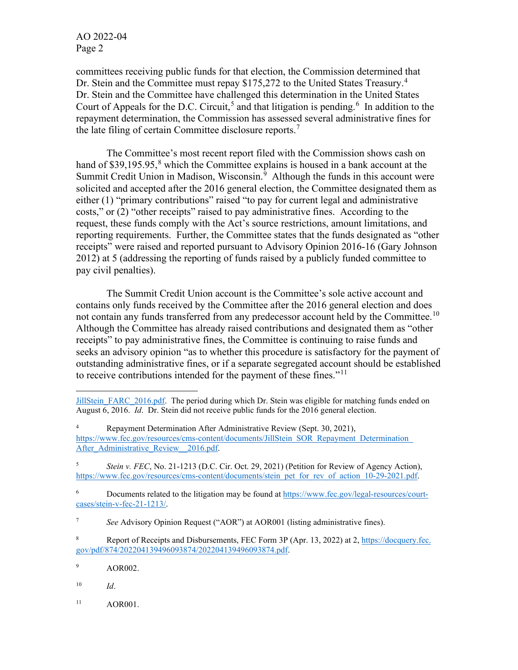AO 2022-04 Page 2

committees receiving public funds for that election, the Commission determined that Dr. Stein and the Committee must repay \$175,272 to the United States Treasury.<sup>[4](#page-1-0)</sup> Dr. Stein and the Committee have challenged this determination in the United States Court of Appeals for the D.C. Circuit,<sup>[5](#page-1-1)</sup> and that litigation is pending.<sup>[6](#page-1-2)</sup> In addition to the repayment determination, the Commission has assessed several administrative fines for the late filing of certain Committee disclosure reports.<sup>[7](#page-1-3)</sup>

The Committee's most recent report filed with the Commission shows cash on hand of \$39,195.95, $8$  which the Committee explains is housed in a bank account at the Summit Credit Union in Madison, Wisconsin.<sup>[9](#page-1-5)</sup> Although the funds in this account were solicited and accepted after the 2016 general election, the Committee designated them as either (1) "primary contributions" raised "to pay for current legal and administrative costs," or (2) "other receipts" raised to pay administrative fines. According to the request, these funds comply with the Act's source restrictions, amount limitations, and reporting requirements. Further, the Committee states that the funds designated as "other receipts" were raised and reported pursuant to Advisory Opinion 2016-16 (Gary Johnson 2012) at 5 (addressing the reporting of funds raised by a publicly funded committee to pay civil penalties).

The Summit Credit Union account is the Committee's sole active account and contains only funds received by the Committee after the 2016 general election and does not contain any funds transferred from any predecessor account held by the Committee.<sup>10</sup> Although the Committee has already raised contributions and designated them as "other receipts" to pay administrative fines, the Committee is continuing to raise funds and seeks an advisory opinion "as to whether this procedure is satisfactory for the payment of outstanding administrative fines, or if a separate segregated account should be established to receive contributions intended for the payment of these fines."<sup>[11](#page-1-7)</sup>

[JillStein\\_FARC\\_2016.pdf.](https://www.fec.gov/resources/legal-resources/enforcement/audits/2016/Jill_Stein_for_President/JillStein_FARC_2016.pdf) The period during which Dr. Stein was eligible for matching funds ended on August 6, 2016. *Id*. Dr. Stein did not receive public funds for the 2016 general election.

<span id="page-1-0"></span><sup>4</sup> Repayment Determination After Administrative Review (Sept. 30, 2021), https://www.fec.gov/resources/cms-content/documents/JillStein\_SOR\_Repayment\_Determination After Administrative Review 2016.pdf.

<span id="page-1-1"></span><sup>5</sup> *Stein v. FEC*, No. 21-1213 (D.C. Cir. Oct. 29, 2021) (Petition for Review of Agency Action), https://www.fec.gov/resources/cms-content/documents/stein\_pet\_for\_rev\_of\_action\_10-29-2021.pdf.

<span id="page-1-2"></span><sup>6</sup> Documents related to the litigation may be found a[t https://www.fec.gov/legal-resources/court](https://www.fec.gov/legal-resources/court-cases/stein-v-fec-21-1213/)[cases/stein-v-fec-21-1213/.](https://www.fec.gov/legal-resources/court-cases/stein-v-fec-21-1213/)

<span id="page-1-3"></span><sup>7</sup> *See* Advisory Opinion Request ("AOR") at AOR001 (listing administrative fines).

<span id="page-1-4"></span><sup>8</sup> Report of Receipts and Disbursements, FEC Form 3P (Apr. 13, 2022) at 2[, https://docquery.fec.](https://docquery.fec.gov/pdf/874/202204139496093874/202204139496093874.pdf) [gov/pdf/874/202204139496093874/202204139496093874.pdf.](https://docquery.fec.gov/pdf/874/202204139496093874/202204139496093874.pdf) 

<span id="page-1-5"></span><sup>9</sup> AOR002.

<span id="page-1-6"></span><sup>10</sup> *Id*.

<span id="page-1-7"></span><sup>&</sup>lt;sup>11</sup> AOR001.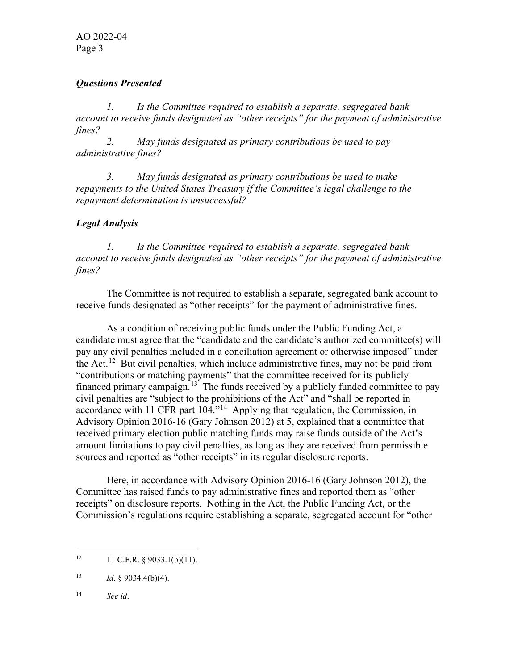AO 2022-04 Page 3

#### *Questions Presented*

*1. Is the Committee required to establish a separate, segregated bank account to receive funds designated as "other receipts" for the payment of administrative fines?*

*2. May funds designated as primary contributions be used to pay administrative fines?*

*3. May funds designated as primary contributions be used to make repayments to the United States Treasury if the Committee's legal challenge to the repayment determination is unsuccessful?*

### *Legal Analysis*

*1. Is the Committee required to establish a separate, segregated bank account to receive funds designated as "other receipts" for the payment of administrative fines?*

The Committee is not required to establish a separate, segregated bank account to receive funds designated as "other receipts" for the payment of administrative fines.

As a condition of receiving public funds under the Public Funding Act, a candidate must agree that the "candidate and the candidate's authorized committee(s) will pay any civil penalties included in a conciliation agreement or otherwise imposed" under the Act.<sup>12</sup> But civil penalties, which include administrative fines, may not be paid from "contributions or matching payments" that the committee received for its publicly financed primary campaign.<sup>13</sup> The funds received by a publicly funded committee to pay civil penalties are "subject to the prohibitions of the Act" and "shall be reported in accordance with 11 CFR part 104."[14](#page-2-2) Applying that regulation, the Commission, in Advisory Opinion 2016-16 (Gary Johnson 2012) at 5, explained that a committee that received primary election public matching funds may raise funds outside of the Act's amount limitations to pay civil penalties, as long as they are received from permissible sources and reported as "other receipts" in its regular disclosure reports.

Here, in accordance with Advisory Opinion 2016-16 (Gary Johnson 2012), the Committee has raised funds to pay administrative fines and reported them as "other receipts" on disclosure reports. Nothing in the Act, the Public Funding Act, or the Commission's regulations require establishing a separate, segregated account for "other

<span id="page-2-2"></span><sup>14</sup> *See id*.

<span id="page-2-0"></span> $12 \t11 \tC.F.R. \t§ 9033.1(b)(11).$ 

<span id="page-2-1"></span><sup>13</sup> *Id.* § 9034.4(b)(4).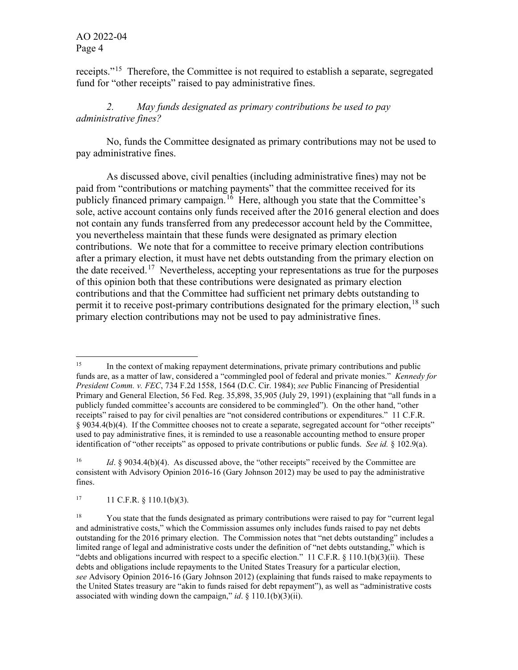receipts."[15](#page-3-0) Therefore, the Committee is not required to establish a separate, segregated fund for "other receipts" raised to pay administrative fines.

## *2. May funds designated as primary contributions be used to pay administrative fines?*

No, funds the Committee designated as primary contributions may not be used to pay administrative fines.

 As discussed above, civil penalties (including administrative fines) may not be paid from "contributions or matching payments" that the committee received for its publicly financed primary campaign.<sup>[16](#page-3-1)</sup> Here, although you state that the Committee's sole, active account contains only funds received after the 2016 general election and does not contain any funds transferred from any predecessor account held by the Committee, you nevertheless maintain that these funds were designated as primary election contributions. We note that for a committee to receive primary election contributions after a primary election, it must have net debts outstanding from the primary election on the date received.<sup>[17](#page-3-2)</sup> Nevertheless, accepting your representations as true for the purposes of this opinion both that these contributions were designated as primary election contributions and that the Committee had sufficient net primary debts outstanding to permit it to receive post-primary contributions designated for the primary election,  $^{18}$  $^{18}$  $^{18}$  such primary election contributions may not be used to pay administrative fines.

<span id="page-3-2"></span> $17 \t11 \tC.F.R. \t§ 110.1(b)(3).$ 

<span id="page-3-0"></span><sup>&</sup>lt;sup>15</sup> In the context of making repayment determinations, private primary contributions and public funds are, as a matter of law, considered a "commingled pool of federal and private monies." *Kennedy for President Comm. v. FEC*, 734 F.2d 1558, 1564 (D.C. Cir. 1984); *see* Public Financing of Presidential Primary and General Election, 56 Fed. Reg. 35,898, 35,905 (July 29, 1991) (explaining that "all funds in a publicly funded committee's accounts are considered to be commingled"). On the other hand, "other receipts" raised to pay for civil penalties are "not considered contributions or expenditures." 11 C.F.R. § 9034.4(b)(4). If the Committee chooses not to create a separate, segregated account for "other receipts" used to pay administrative fines, it is reminded to use a reasonable accounting method to ensure proper identification of "other receipts" as opposed to private contributions or public funds. *See id.* § 102.9(a).

<span id="page-3-1"></span><sup>&</sup>lt;sup>16</sup> *Id.* § 9034.4(b)(4). As discussed above, the "other receipts" received by the Committee are consistent with Advisory Opinion 2016-16 (Gary Johnson 2012) may be used to pay the administrative fines.

<span id="page-3-3"></span><sup>&</sup>lt;sup>18</sup> You state that the funds designated as primary contributions were raised to pay for "current legal" and administrative costs," which the Commission assumes only includes funds raised to pay net debts outstanding for the 2016 primary election. The Commission notes that "net debts outstanding" includes a limited range of legal and administrative costs under the definition of "net debts outstanding," which is "debts and obligations incurred with respect to a specific election." 11 C.F.R.  $\S$  110.1(b)(3)(ii). These debts and obligations include repayments to the United States Treasury for a particular election, *see* Advisory Opinion 2016-16 (Gary Johnson 2012) (explaining that funds raised to make repayments to the United States treasury are "akin to funds raised for debt repayment"), as well as "administrative costs associated with winding down the campaign," *id*. § 110.1(b)(3)(ii).